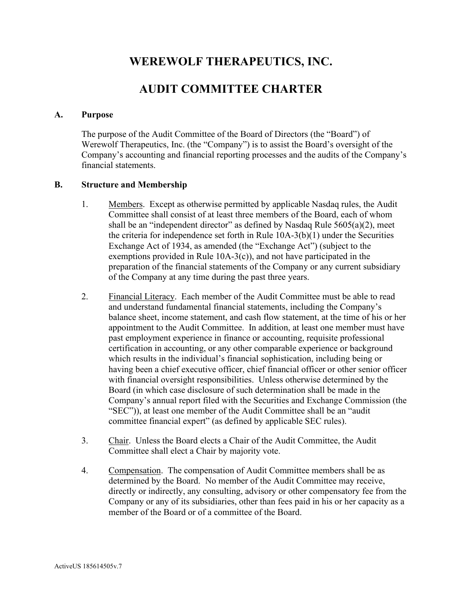# **WEREWOLF THERAPEUTICS, INC.**

## **AUDIT COMMITTEE CHARTER**

#### **A. Purpose**

The purpose of the Audit Committee of the Board of Directors (the "Board") of Werewolf Therapeutics, Inc. (the "Company") is to assist the Board's oversight of the Company's accounting and financial reporting processes and the audits of the Company's financial statements.

#### **B. Structure and Membership**

- 1. Members. Except as otherwise permitted by applicable Nasdaq rules, the Audit Committee shall consist of at least three members of the Board, each of whom shall be an "independent director" as defined by Nasdaq Rule 5605(a)(2), meet the criteria for independence set forth in Rule 10A-3(b)(1) under the Securities Exchange Act of 1934, as amended (the "Exchange Act") (subject to the exemptions provided in Rule 10A-3(c)), and not have participated in the preparation of the financial statements of the Company or any current subsidiary of the Company at any time during the past three years.
- 2. Financial Literacy. Each member of the Audit Committee must be able to read and understand fundamental financial statements, including the Company's balance sheet, income statement, and cash flow statement, at the time of his or her appointment to the Audit Committee. In addition, at least one member must have past employment experience in finance or accounting, requisite professional certification in accounting, or any other comparable experience or background which results in the individual's financial sophistication, including being or having been a chief executive officer, chief financial officer or other senior officer with financial oversight responsibilities. Unless otherwise determined by the Board (in which case disclosure of such determination shall be made in the Company's annual report filed with the Securities and Exchange Commission (the "SEC")), at least one member of the Audit Committee shall be an "audit committee financial expert" (as defined by applicable SEC rules).
- 3. Chair. Unless the Board elects a Chair of the Audit Committee, the Audit Committee shall elect a Chair by majority vote.
- 4. Compensation. The compensation of Audit Committee members shall be as determined by the Board. No member of the Audit Committee may receive, directly or indirectly, any consulting, advisory or other compensatory fee from the Company or any of its subsidiaries, other than fees paid in his or her capacity as a member of the Board or of a committee of the Board.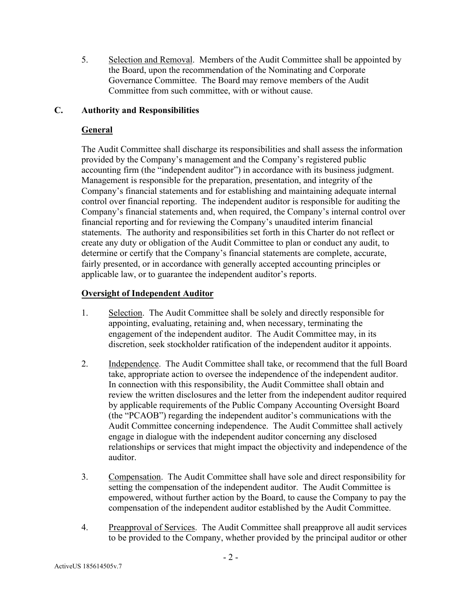5. Selection and Removal. Members of the Audit Committee shall be appointed by the Board, upon the recommendation of the Nominating and Corporate Governance Committee. The Board may remove members of the Audit Committee from such committee, with or without cause.

#### **C. Authority and Responsibilities**

#### **General**

The Audit Committee shall discharge its responsibilities and shall assess the information provided by the Company's management and the Company's registered public accounting firm (the "independent auditor") in accordance with its business judgment. Management is responsible for the preparation, presentation, and integrity of the Company's financial statements and for establishing and maintaining adequate internal control over financial reporting. The independent auditor is responsible for auditing the Company's financial statements and, when required, the Company's internal control over financial reporting and for reviewing the Company's unaudited interim financial statements. The authority and responsibilities set forth in this Charter do not reflect or create any duty or obligation of the Audit Committee to plan or conduct any audit, to determine or certify that the Company's financial statements are complete, accurate, fairly presented, or in accordance with generally accepted accounting principles or applicable law, or to guarantee the independent auditor's reports.

#### **Oversight of Independent Auditor**

- 1. Selection. The Audit Committee shall be solely and directly responsible for appointing, evaluating, retaining and, when necessary, terminating the engagement of the independent auditor. The Audit Committee may, in its discretion, seek stockholder ratification of the independent auditor it appoints.
- 2. Independence. The Audit Committee shall take, or recommend that the full Board take, appropriate action to oversee the independence of the independent auditor. In connection with this responsibility, the Audit Committee shall obtain and review the written disclosures and the letter from the independent auditor required by applicable requirements of the Public Company Accounting Oversight Board (the "PCAOB") regarding the independent auditor's communications with the Audit Committee concerning independence. The Audit Committee shall actively engage in dialogue with the independent auditor concerning any disclosed relationships or services that might impact the objectivity and independence of the auditor.
- 3. Compensation. The Audit Committee shall have sole and direct responsibility for setting the compensation of the independent auditor. The Audit Committee is empowered, without further action by the Board, to cause the Company to pay the compensation of the independent auditor established by the Audit Committee.
- 4. Preapproval of Services. The Audit Committee shall preapprove all audit services to be provided to the Company, whether provided by the principal auditor or other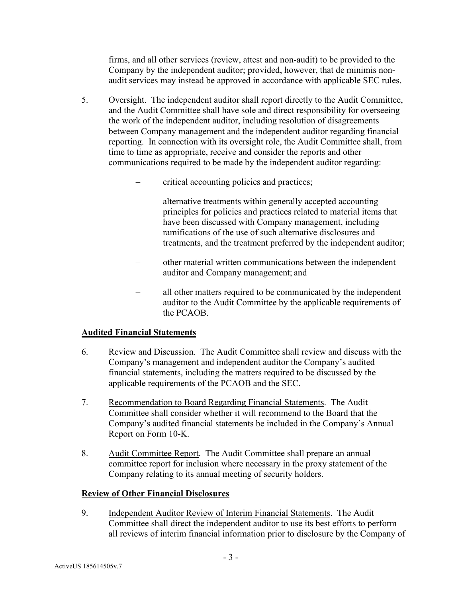firms, and all other services (review, attest and non-audit) to be provided to the Company by the independent auditor; provided, however, that de minimis nonaudit services may instead be approved in accordance with applicable SEC rules.

- 5. Oversight. The independent auditor shall report directly to the Audit Committee, and the Audit Committee shall have sole and direct responsibility for overseeing the work of the independent auditor, including resolution of disagreements between Company management and the independent auditor regarding financial reporting. In connection with its oversight role, the Audit Committee shall, from time to time as appropriate, receive and consider the reports and other communications required to be made by the independent auditor regarding:
	- critical accounting policies and practices;
	- alternative treatments within generally accepted accounting principles for policies and practices related to material items that have been discussed with Company management, including ramifications of the use of such alternative disclosures and treatments, and the treatment preferred by the independent auditor;
	- other material written communications between the independent auditor and Company management; and
	- all other matters required to be communicated by the independent auditor to the Audit Committee by the applicable requirements of the PCAOB.

## **Audited Financial Statements**

- 6. Review and Discussion. The Audit Committee shall review and discuss with the Company's management and independent auditor the Company's audited financial statements, including the matters required to be discussed by the applicable requirements of the PCAOB and the SEC.
- 7. Recommendation to Board Regarding Financial Statements. The Audit Committee shall consider whether it will recommend to the Board that the Company's audited financial statements be included in the Company's Annual Report on Form 10-K.
- 8. Audit Committee Report. The Audit Committee shall prepare an annual committee report for inclusion where necessary in the proxy statement of the Company relating to its annual meeting of security holders.

## **Review of Other Financial Disclosures**

9. Independent Auditor Review of Interim Financial Statements. The Audit Committee shall direct the independent auditor to use its best efforts to perform all reviews of interim financial information prior to disclosure by the Company of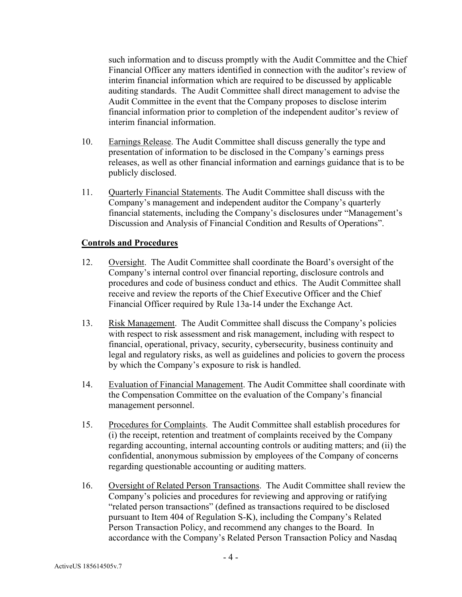such information and to discuss promptly with the Audit Committee and the Chief Financial Officer any matters identified in connection with the auditor's review of interim financial information which are required to be discussed by applicable auditing standards. The Audit Committee shall direct management to advise the Audit Committee in the event that the Company proposes to disclose interim financial information prior to completion of the independent auditor's review of interim financial information.

- 10. Earnings Release. The Audit Committee shall discuss generally the type and presentation of information to be disclosed in the Company's earnings press releases, as well as other financial information and earnings guidance that is to be publicly disclosed.
- 11. Quarterly Financial Statements. The Audit Committee shall discuss with the Company's management and independent auditor the Company's quarterly financial statements, including the Company's disclosures under "Management's Discussion and Analysis of Financial Condition and Results of Operations".

#### **Controls and Procedures**

- 12. Oversight. The Audit Committee shall coordinate the Board's oversight of the Company's internal control over financial reporting, disclosure controls and procedures and code of business conduct and ethics. The Audit Committee shall receive and review the reports of the Chief Executive Officer and the Chief Financial Officer required by Rule 13a-14 under the Exchange Act.
- 13. Risk Management. The Audit Committee shall discuss the Company's policies with respect to risk assessment and risk management, including with respect to financial, operational, privacy, security, cybersecurity, business continuity and legal and regulatory risks, as well as guidelines and policies to govern the process by which the Company's exposure to risk is handled.
- 14. Evaluation of Financial Management. The Audit Committee shall coordinate with the Compensation Committee on the evaluation of the Company's financial management personnel.
- 15. Procedures for Complaints. The Audit Committee shall establish procedures for (i) the receipt, retention and treatment of complaints received by the Company regarding accounting, internal accounting controls or auditing matters; and (ii) the confidential, anonymous submission by employees of the Company of concerns regarding questionable accounting or auditing matters.
- 16. Oversight of Related Person Transactions. The Audit Committee shall review the Company's policies and procedures for reviewing and approving or ratifying "related person transactions" (defined as transactions required to be disclosed pursuant to Item 404 of Regulation S-K), including the Company's Related Person Transaction Policy, and recommend any changes to the Board. In accordance with the Company's Related Person Transaction Policy and Nasdaq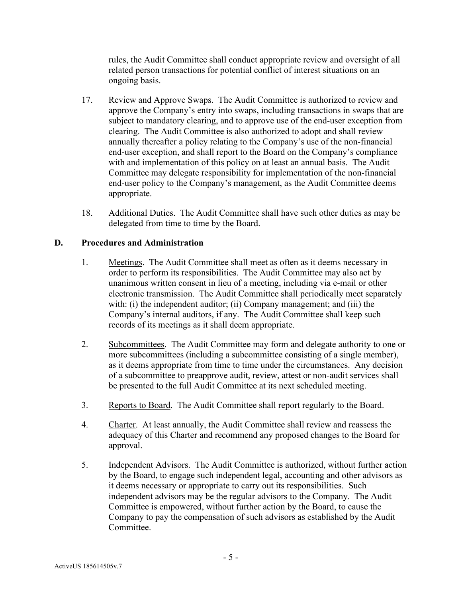rules, the Audit Committee shall conduct appropriate review and oversight of all related person transactions for potential conflict of interest situations on an ongoing basis.

- 17. Review and Approve Swaps. The Audit Committee is authorized to review and approve the Company's entry into swaps, including transactions in swaps that are subject to mandatory clearing, and to approve use of the end-user exception from clearing. The Audit Committee is also authorized to adopt and shall review annually thereafter a policy relating to the Company's use of the non-financial end-user exception, and shall report to the Board on the Company's compliance with and implementation of this policy on at least an annual basis. The Audit Committee may delegate responsibility for implementation of the non-financial end-user policy to the Company's management, as the Audit Committee deems appropriate.
- 18. Additional Duties. The Audit Committee shall have such other duties as may be delegated from time to time by the Board.

#### **D. Procedures and Administration**

- 1. Meetings. The Audit Committee shall meet as often as it deems necessary in order to perform its responsibilities. The Audit Committee may also act by unanimous written consent in lieu of a meeting, including via e-mail or other electronic transmission. The Audit Committee shall periodically meet separately with: (i) the independent auditor; (ii) Company management; and (iii) the Company's internal auditors, if any. The Audit Committee shall keep such records of its meetings as it shall deem appropriate.
- 2. Subcommittees. The Audit Committee may form and delegate authority to one or more subcommittees (including a subcommittee consisting of a single member), as it deems appropriate from time to time under the circumstances. Any decision of a subcommittee to preapprove audit, review, attest or non-audit services shall be presented to the full Audit Committee at its next scheduled meeting.
- 3. Reports to Board. The Audit Committee shall report regularly to the Board.
- 4. Charter. At least annually, the Audit Committee shall review and reassess the adequacy of this Charter and recommend any proposed changes to the Board for approval.
- 5. Independent Advisors. The Audit Committee is authorized, without further action by the Board, to engage such independent legal, accounting and other advisors as it deems necessary or appropriate to carry out its responsibilities. Such independent advisors may be the regular advisors to the Company. The Audit Committee is empowered, without further action by the Board, to cause the Company to pay the compensation of such advisors as established by the Audit Committee.